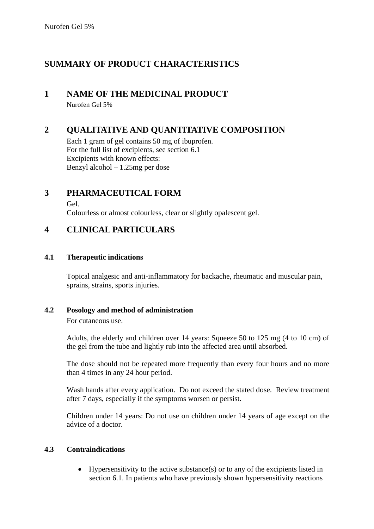## **SUMMARY OF PRODUCT CHARACTERISTICS**

## **1 NAME OF THE MEDICINAL PRODUCT**

Nurofen Gel 5%

## **2 QUALITATIVE AND QUANTITATIVE COMPOSITION**

Each 1 gram of gel contains 50 mg of ibuprofen. For the full list of excipients, see section 6.1 Excipients with known effects: Benzyl alcohol – 1.25mg per dose

## **3 PHARMACEUTICAL FORM**

Gel.

Colourless or almost colourless, clear or slightly opalescent gel.

## **4 CLINICAL PARTICULARS**

### **4.1 Therapeutic indications**

Topical analgesic and anti-inflammatory for backache, rheumatic and muscular pain, sprains, strains, sports injuries.

## **4.2 Posology and method of administration**

For cutaneous use.

Adults, the elderly and children over 14 years: Squeeze 50 to 125 mg (4 to 10 cm) of the gel from the tube and lightly rub into the affected area until absorbed.

The dose should not be repeated more frequently than every four hours and no more than 4 times in any 24 hour period.

Wash hands after every application. Do not exceed the stated dose. Review treatment after 7 days, especially if the symptoms worsen or persist.

Children under 14 years: Do not use on children under 14 years of age except on the advice of a doctor.

## **4.3 Contraindications**

• Hypersensitivity to the active substance(s) or to any of the excipients listed in section 6.1. In patients who have previously shown hypersensitivity reactions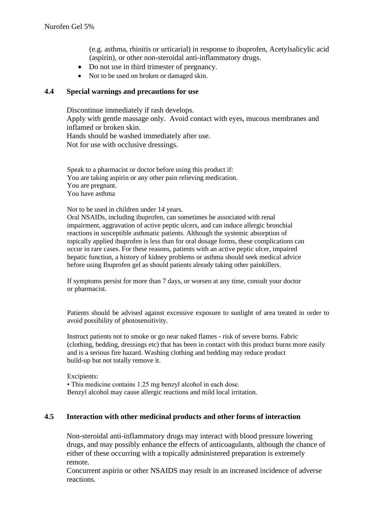(e.g. asthma, rhinitis or urticarial) in response to ibuprofen, Acetylsalicylic acid (aspirin), or other non-steroidal anti-inflammatory drugs.

- Do not use in third trimester of pregnancy.
- Not to be used on broken or damaged skin.

#### **4.4 Special warnings and precautions for use**

Discontinue immediately if rash develops. Apply with gentle massage only. Avoid contact with eyes, mucous membranes and inflamed or broken skin. Hands should be washed immediately after use. Not for use with occlusive dressings.

Speak to a pharmacist or doctor before using this product if: You are taking aspirin or any other pain relieving medication. You are pregnant. You have asthma

Not to be used in children under 14 years.

Oral NSAIDs, including ibuprofen, can sometimes be associated with renal impairment, aggravation of active peptic ulcers, and can induce allergic bronchial reactions in susceptible asthmatic patients. Although the systemic absorption of topically applied ibuprofen is less than for oral dosage forms, these complications can occur in rare cases. For these reasons, patients with an active peptic ulcer, impaired hepatic function, a history of kidney problems or asthma should seek medical advice before using Ibuprofen gel as should patients already taking other painkillers.

If symptoms persist for more than 7 days, or worsen at any time, consult your doctor or pharmacist.

Patients should be advised against excessive exposure to sunlight of area treated in order to avoid possibility of photosensitivity.

Instruct patients not to smoke or go near naked flames - risk of severe burns. Fabric (clothing, bedding, dressings etc) that has been in contact with this product burns more easily and is a serious fire hazard. Washing clothing and bedding may reduce product build-up but not totally remove it.

Excipients: • This medicine contains 1.25 mg benzyl alcohol in each dose. Benzyl alcohol may cause allergic reactions and mild local irritation.

#### **4.5 Interaction with other medicinal products and other forms of interaction**

Non-steroidal anti-inflammatory drugs may interact with blood pressure lowering drugs, and may possibly enhance the effects of anticoagulants, although the chance of either of these occurring with a topically administered preparation is extremely remote.

Concurrent aspirin or other NSAIDS may result in an increased incidence of adverse reactions.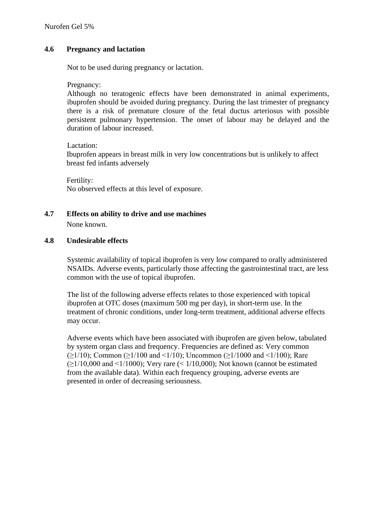#### **4.6 Pregnancy and lactation**

Not to be used during pregnancy or lactation.

Pregnancy:

Although no teratogenic effects have been demonstrated in animal experiments, ibuprofen should be avoided during pregnancy. During the last trimester of pregnancy there is a risk of premature closure of the fetal ductus arteriosus with possible persistent pulmonary hypertension. The onset of labour may be delayed and the duration of labour increased.

Lactation:

Ibuprofen appears in breast milk in very low concentrations but is unlikely to affect breast fed infants adversely

Fertility: No observed effects at this level of exposure.

### **4.7 Effects on ability to drive and use machines**

None known.

#### **4.8 Undesirable effects**

Systemic availability of topical ibuprofen is very low compared to orally administered NSAIDs. Adverse events, particularly those affecting the gastrointestinal tract, are less common with the use of topical ibuprofen.

The list of the following adverse effects relates to those experienced with topical ibuprofen at OTC doses (maximum 500 mg per day), in short-term use. In the treatment of chronic conditions, under long-term treatment, additional adverse effects may occur.

Adverse events which have been associated with ibuprofen are given below, tabulated by system organ class and frequency. Frequencies are defined as: Very common  $(>1/10)$ ; Common  $(>1/100$  and  $<1/10$ ); Uncommon  $(>1/1000$  and  $<1/100$ ); Rare  $(\geq 1/10,000$  and  $\leq 1/1000$ ); Very rare ( $\leq 1/10,000$ ); Not known (cannot be estimated from the available data). Within each frequency grouping, adverse events are presented in order of decreasing seriousness.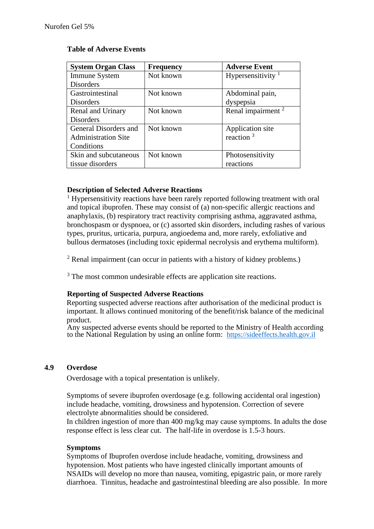#### **Table of Adverse Events**

| <b>System Organ Class</b>  | <b>Frequency</b> | <b>Adverse Event</b>          |
|----------------------------|------------------|-------------------------------|
| Immune System              | Not known        | Hypersensitivity $1$          |
| <b>Disorders</b>           |                  |                               |
| Gastrointestinal           | Not known        | Abdominal pain,               |
| <b>Disorders</b>           |                  | dyspepsia                     |
| Renal and Urinary          | Not known        | Renal impairment <sup>2</sup> |
| <b>Disorders</b>           |                  |                               |
| General Disorders and      | Not known        | Application site              |
| <b>Administration Site</b> |                  | reaction $3$                  |
| Conditions                 |                  |                               |
| Skin and subcutaneous      | Not known        | Photosensitivity              |
| tissue disorders           |                  | reactions                     |

#### **Description of Selected Adverse Reactions**

<sup>1</sup> Hypersensitivity reactions have been rarely reported following treatment with oral and topical ibuprofen. These may consist of (a) non-specific allergic reactions and anaphylaxis, (b) respiratory tract reactivity comprising asthma, aggravated asthma, bronchospasm or dyspnoea, or (c) assorted skin disorders, including rashes of various types, pruritus, urticaria, purpura, angioedema and, more rarely, exfoliative and bullous dermatoses (including toxic epidermal necrolysis and erythema multiform).

 $2$  Renal impairment (can occur in patients with a history of kidney problems.)

<sup>3</sup> The most common undesirable effects are application site reactions.

#### **Reporting of Suspected Adverse Reactions**

Reporting suspected adverse reactions after authorisation of the medicinal product is important. It allows continued monitoring of the benefit/risk balance of the medicinal product.

Any suspected adverse events should be reported to the Ministry of Health according to the National Regulation by using an online form: [https://sideeffects.health.gov.il](https://sideeffects.health.gov.il/)

#### **4.9 Overdose**

Overdosage with a topical presentation is unlikely.

Symptoms of severe ibuprofen overdosage (e.g. following accidental oral ingestion) include headache, vomiting, drowsiness and hypotension. Correction of severe electrolyte abnormalities should be considered.

In children ingestion of more than 400 mg/kg may cause symptoms. In adults the dose response effect is less clear cut. The half-life in overdose is 1.5-3 hours.

#### **Symptoms**

Symptoms of Ibuprofen overdose include headache, vomiting, drowsiness and hypotension. Most patients who have ingested clinically important amounts of NSAIDs will develop no more than nausea, vomiting, epigastric pain, or more rarely diarrhoea. Tinnitus, headache and gastrointestinal bleeding are also possible. In more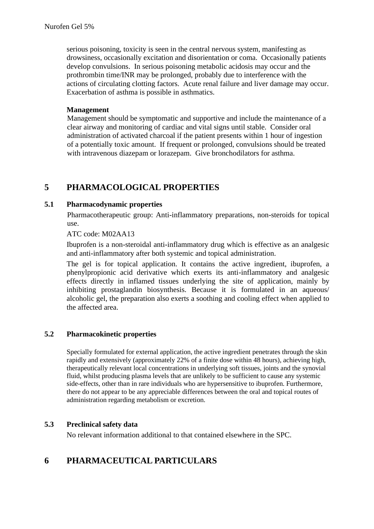serious poisoning, toxicity is seen in the central nervous system, manifesting as drowsiness, occasionally excitation and disorientation or coma. Occasionally patients develop convulsions. In serious poisoning metabolic acidosis may occur and the prothrombin time/INR may be prolonged, probably due to interference with the actions of circulating clotting factors. Acute renal failure and liver damage may occur. Exacerbation of asthma is possible in asthmatics.

#### **Management**

Management should be symptomatic and supportive and include the maintenance of a clear airway and monitoring of cardiac and vital signs until stable. Consider oral administration of activated charcoal if the patient presents within 1 hour of ingestion of a potentially toxic amount. If frequent or prolonged, convulsions should be treated with intravenous diazepam or lorazepam. Give bronchodilators for asthma.

## **5 PHARMACOLOGICAL PROPERTIES**

#### **5.1 Pharmacodynamic properties**

Pharmacotherapeutic group: Anti-inflammatory preparations, non-steroids for topical use.

ATC code: M02AA13

Ibuprofen is a non-steroidal anti-inflammatory drug which is effective as an analgesic and anti-inflammatory after both systemic and topical administration.

The gel is for topical application. It contains the active ingredient, ibuprofen, a phenylpropionic acid derivative which exerts its anti-inflammatory and analgesic effects directly in inflamed tissues underlying the site of application, mainly by inhibiting prostaglandin biosynthesis. Because it is formulated in an aqueous/ alcoholic gel, the preparation also exerts a soothing and cooling effect when applied to the affected area.

#### **5.2 Pharmacokinetic properties**

Specially formulated for external application, the active ingredient penetrates through the skin rapidly and extensively (approximately 22% of a finite dose within 48 hours), achieving high, therapeutically relevant local concentrations in underlying soft tissues, joints and the synovial fluid, whilst producing plasma levels that are unlikely to be sufficient to cause any systemic side-effects, other than in rare individuals who are hypersensitive to ibuprofen. Furthermore, there do not appear to be any appreciable differences between the oral and topical routes of administration regarding metabolism or excretion.

#### **5.3 Preclinical safety data**

No relevant information additional to that contained elsewhere in the SPC.

## **6 PHARMACEUTICAL PARTICULARS**